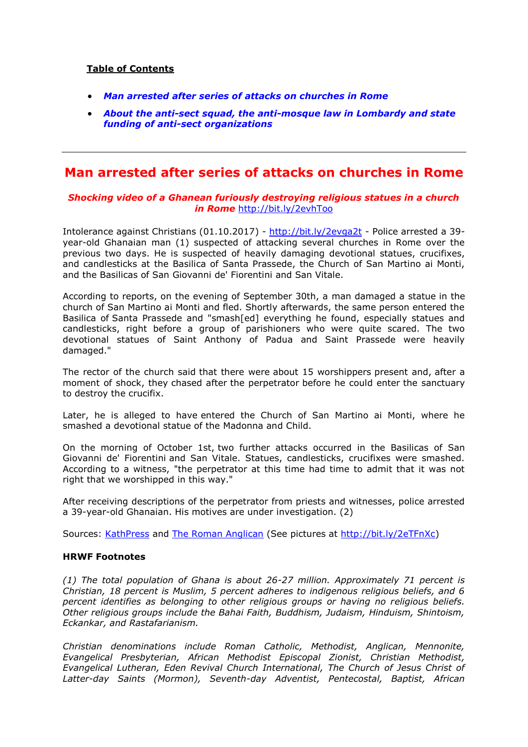### **Table of Contents**

- *[Man arrested after series of attacks on churches in Rome](#page-0-0)*
- *[About the anti-sect squad, the anti-mosque law in Lombardy and state](#page-1-0)  [funding of anti-sect](#page-1-0) organizations*

# <span id="page-0-0"></span>**Man arrested after series of attacks on churches in Rome**

### *Shocking video of a Ghanean furiously destroying religious statues in a church in Rome* <http://bit.ly/2evhToo>

Intolerance against Christians (01.10.2017) - <http://bit.ly/2evga2t> - Police arrested a 39 year-old Ghanaian man (1) suspected of attacking several churches in Rome over the previous two days. He is suspected of heavily damaging devotional statues, crucifixes, and candlesticks at the Basilica of Santa Prassede, the Church of San Martino ai Monti, and the Basilicas of San Giovanni de' Fiorentini and San Vitale.

According to reports, on the evening of September 30th, a man damaged a statue in the church of San Martino ai Monti and fled. Shortly afterwards, the same person entered the Basilica of Santa Prassede and "smash[ed] everything he found, especially statues and candlesticks, right before a group of parishioners who were quite scared. The two devotional statues of Saint Anthony of Padua and Saint Prassede were heavily damaged."

The rector of the church said that there were about 15 worshippers present and, after a moment of shock, they chased after the perpetrator before he could enter the sanctuary to destroy the crucifix.

Later, he is alleged to have entered the Church of San Martino ai Monti, where he smashed a devotional statue of the Madonna and Child.

On the morning of October 1st, two further attacks occurred in the Basilicas of San Giovanni de' Fiorentini and San Vitale. Statues, candlesticks, crucifixes were smashed. According to a witness, "the perpetrator at this time had time to admit that it was not right that we worshipped in this way."

After receiving descriptions of the perpetrator from priests and witnesses, police arrested a 39-year-old Ghanaian. His motives are under investigation. (2)

Sources: [KathPress](http://www.kathpress.at/goto/meldung/1424938/vandalismus-serie-in-roemischen-kirchen-verdaechtiger-festgenommen) and [The Roman Anglican](http://romananglican.blogspot.co.at/2016/10/the-eternal-city-is-under-attack-our.html) (See pictures at [http://bit.ly/2eTFnXc\)](http://bit.ly/2eTFnXc)

### **HRWF Footnotes**

*(1) The total population of Ghana is about 26-27 million. Approximately 71 percent is Christian, 18 percent is Muslim, 5 percent adheres to indigenous religious beliefs, and 6 percent identifies as belonging to other religious groups or having no religious beliefs. Other religious groups include the Bahai Faith, Buddhism, Judaism, Hinduism, Shintoism, Eckankar, and Rastafarianism.*

*Christian denominations include Roman Catholic, Methodist, Anglican, Mennonite, Evangelical Presbyterian, African Methodist Episcopal Zionist, Christian Methodist, Evangelical Lutheran, Eden Revival Church International, The Church of Jesus Christ of Latter-day Saints (Mormon), Seventh-day Adventist, Pentecostal, Baptist, African*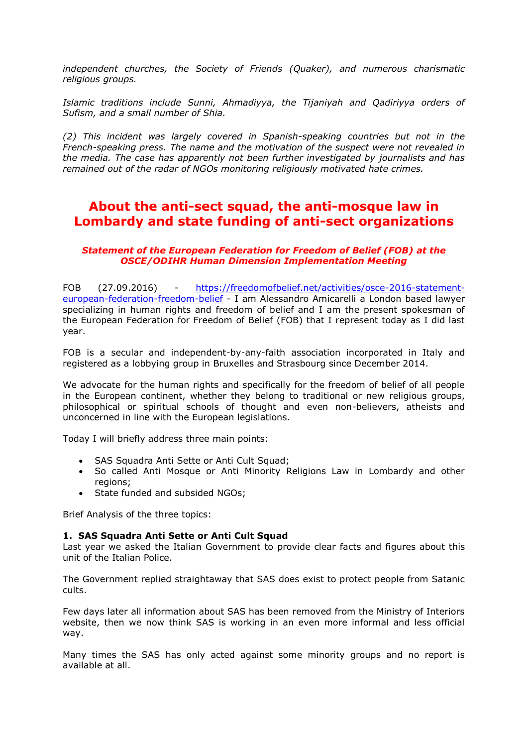*independent churches, the Society of Friends (Quaker), and numerous charismatic religious groups.*

*Islamic traditions include Sunni, Ahmadiyya, the Tijaniyah and Qadiriyya orders of Sufism, and a small number of Shia.*

*(2) This incident was largely covered in Spanish-speaking countries but not in the French-speaking press. The name and the motivation of the suspect were not revealed in the media. The case has apparently not been further investigated by journalists and has remained out of the radar of NGOs monitoring religiously motivated hate crimes.*

# <span id="page-1-0"></span>**About the anti-sect squad, the anti-mosque law in Lombardy and state funding of anti-sect organizations**

### *Statement of the European Federation for Freedom of Belief (FOB) at the OSCE/ODIHR Human Dimension Implementation Meeting*

FOB (27.09.2016) - [https://freedomofbelief.net/activities/osce-2016-statement](https://freedomofbelief.net/activities/osce-2016-statement-european-federation-freedom-belief)[european-federation-freedom-belief](https://freedomofbelief.net/activities/osce-2016-statement-european-federation-freedom-belief) - I am Alessandro Amicarelli a London based lawyer specializing in human rights and freedom of belief and I am the present spokesman of the European Federation for Freedom of Belief (FOB) that I represent today as I did last year.

FOB is a secular and independent-by-any-faith association incorporated in Italy and registered as a lobbying group in Bruxelles and Strasbourg since December 2014.

We advocate for the human rights and specifically for the freedom of belief of all people in the European continent, whether they belong to traditional or new religious groups, philosophical or spiritual schools of thought and even non-believers, atheists and unconcerned in line with the European legislations.

Today I will briefly address three main points:

- SAS Squadra Anti Sette or Anti Cult Squad;
- So called Anti Mosque or Anti Minority Religions Law in Lombardy and other regions;
- State funded and subsided NGOs;

Brief Analysis of the three topics:

### **1. SAS Squadra Anti Sette or Anti Cult Squad**

Last year we asked the Italian Government to provide clear facts and figures about this unit of the Italian Police.

The Government replied straightaway that SAS does exist to protect people from Satanic cults.

Few days later all information about SAS has been removed from the Ministry of Interiors website, then we now think SAS is working in an even more informal and less official way.

Many times the SAS has only acted against some minority groups and no report is available at all.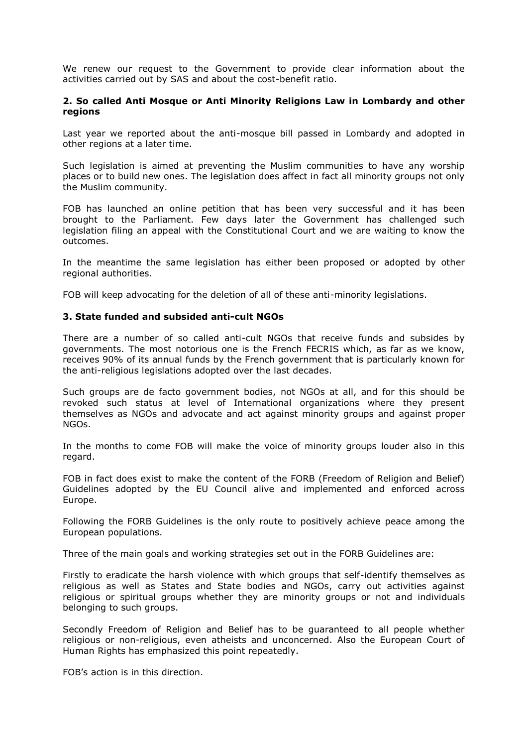We renew our request to the Government to provide clear information about the activities carried out by SAS and about the cost-benefit ratio.

### **2. So called Anti Mosque or Anti Minority Religions Law in Lombardy and other regions**

Last year we reported about the anti-mosque bill passed in Lombardy and adopted in other regions at a later time.

Such legislation is aimed at preventing the Muslim communities to have any worship places or to build new ones. The legislation does affect in fact all minority groups not only the Muslim community.

FOB has launched an online petition that has been very successful and it has been brought to the Parliament. Few days later the Government has challenged such legislation filing an appeal with the Constitutional Court and we are waiting to know the outcomes.

In the meantime the same legislation has either been proposed or adopted by other regional authorities.

FOB will keep advocating for the deletion of all of these anti-minority legislations.

#### **3. State funded and subsided anti-cult NGOs**

There are a number of so called anti-cult NGOs that receive funds and subsides by governments. The most notorious one is the French FECRIS which, as far as we know, receives 90% of its annual funds by the French government that is particularly known for the anti-religious legislations adopted over the last decades.

Such groups are de facto government bodies, not NGOs at all, and for this should be revoked such status at level of International organizations where they present themselves as NGOs and advocate and act against minority groups and against proper NGOs.

In the months to come FOB will make the voice of minority groups louder also in this regard.

FOB in fact does exist to make the content of the FORB (Freedom of Religion and Belief) Guidelines adopted by the EU Council alive and implemented and enforced across Europe.

Following the FORB Guidelines is the only route to positively achieve peace among the European populations.

Three of the main goals and working strategies set out in the FORB Guidelines are:

Firstly to eradicate the harsh violence with which groups that self-identify themselves as religious as well as States and State bodies and NGOs, carry out activities against religious or spiritual groups whether they are minority groups or not and individuals belonging to such groups.

Secondly Freedom of Religion and Belief has to be guaranteed to all people whether religious or non-religious, even atheists and unconcerned. Also the European Court of Human Rights has emphasized this point repeatedly.

FOB's action is in this direction.